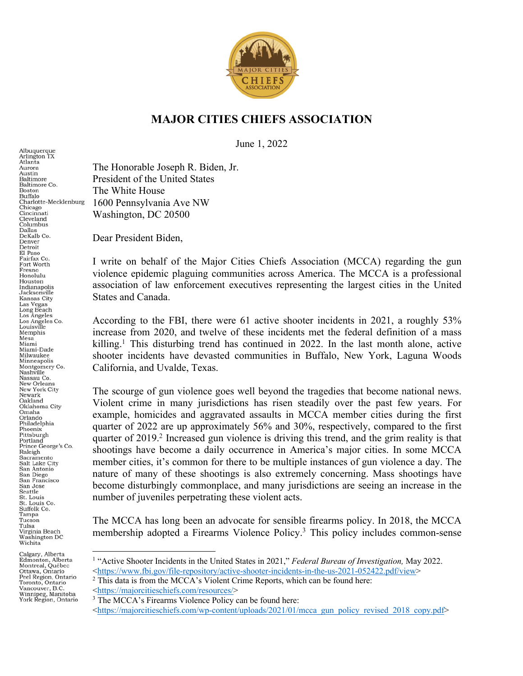

## **MAJOR CITIES CHIEFS ASSOCIATION**

June 1, 2022

The Honorable Joseph R. Biden, Jr. President of the United States The White House 1600 Pennsylvania Ave NW Washington, DC 20500

Dear President Biden,

I write on behalf of the Major Cities Chiefs Association (MCCA) regarding the gun violence epidemic plaguing communities across America. The MCCA is a professional association of law enforcement executives representing the largest cities in the United States and Canada.

According to the FBI, there were 61 active shooter incidents in 2021, a roughly 53% increase from 2020, and twelve of these incidents met the federal definition of a mass killing.<sup>1</sup> This disturbing trend has continued in 2022. In the last month alone, active shooter incidents have devasted communities in Buffalo, New York, Laguna Woods California, and Uvalde, Texas.

The scourge of gun violence goes well beyond the tragedies that become national news. Violent crime in many jurisdictions has risen steadily over the past few years. For example, homicides and aggravated assaults in MCCA member cities during the first quarter of 2022 are up approximately 56% and 30%, respectively, compared to the first quarter of 2019.<sup>2</sup> Increased gun violence is driving this trend, and the grim reality is that shootings have become a daily occurrence in America's major cities. In some MCCA member cities, it's common for there to be multiple instances of gun violence a day. The nature of many of these shootings is also extremely concerning. Mass shootings have become disturbingly commonplace, and many jurisdictions are seeing an increase in the number of juveniles perpetrating these violent acts.

The MCCA has long been an advocate for sensible firearms policy. In 2018, the MCCA membership adopted a Firearms Violence Policy.3 This policy includes common-sense

Albuquerque<br>Arlington TX Atlanta Aurora Austin<br>Baltimore Baltimore Co. **Boston** Buffalo Charlotte-Mecklenburg Chicago<br>Cincinnati Cleveland Columbus Dallas<br>DeKalb Co. Denver Detroit El Paso Fairfax Co. Fort Worth Fresno<br>Honolulu Houston<br>Indianapolis Jacksonville<br>Kansas City Kansas City<br>Las Vegas<br>Long Beach<br>Los Angeles Co.<br>Louisville<br>Mambia Memphis Mesa Miami Miami-Dade Milwaukee Minneapolis Montgomery Co.<br>Nashville Nassau Co. New Orleans New York City Newark Oakland<br>Oklahoma City Omaha<br>Orlando Philadelphia Phoenix Pittsburgh Portland Prince George's Co. Raleigh Sacramento<br>Salt Lake City San Antonio San Diego<br>San Francisco San Jose Seattle St. Louis<br>St. Louis Co. Suffolk Co. Tampa Tucson Tulsa Virginia Beach<br>Washington DC Wichita

<sup>1</sup> "Active Shooter Incidents in the United States in 2021," *Federal Bureau of Investigation,* May 2022.  $\frac{\text{th\_times}}{2}$  This data is from the MCCA's Violent Crime Reports, which can be found here:

 $\frac{\text{th\_tips:}}{\text{3} \cdot \text{The MCCA's Firearms Violence Policy can be found here:}}$ 

<sup>&</sup>lt;https://majorcitieschiefs.com/wp-content/uploads/2021/01/mcca\_gun\_policy\_revised\_2018\_copy.pdf>

Calgary, Alberta Edmonton, Alberta Montreal, Québec Ottawa, Ontario Peel Region, Ontario Toronto, Ontario<br>Vancouver, B.C. Winnipeg, Manitoba<br>York Region, Ontario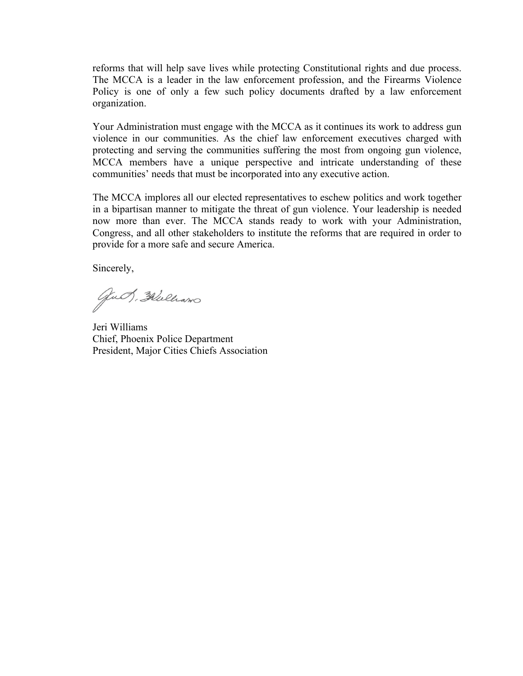reforms that will help save lives while protecting Constitutional rights and due process. The MCCA is a leader in the law enforcement profession, and the Firearms Violence Policy is one of only a few such policy documents drafted by a law enforcement organization.

Your Administration must engage with the MCCA as it continues its work to address gun violence in our communities. As the chief law enforcement executives charged with protecting and serving the communities suffering the most from ongoing gun violence, MCCA members have a unique perspective and intricate understanding of these communities' needs that must be incorporated into any executive action.

The MCCA implores all our elected representatives to eschew politics and work together in a bipartisan manner to mitigate the threat of gun violence. Your leadership is needed now more than ever. The MCCA stands ready to work with your Administration, Congress, and all other stakeholders to institute the reforms that are required in order to provide for a more safe and secure America.

Sincerely,

gut, Flulhano

Jeri Williams Chief, Phoenix Police Department President, Major Cities Chiefs Association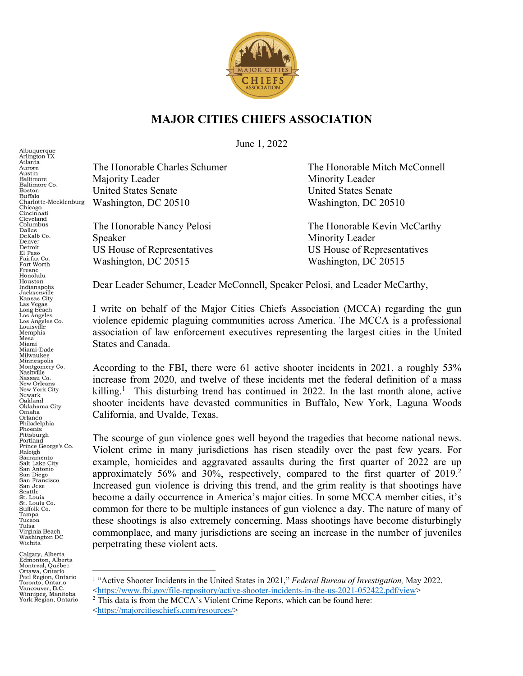

## **MAJOR CITIES CHIEFS ASSOCIATION**

June 1, 2022

Albuquerque<br>Arlington TX Atlanta The Honorable Charles Schumer The Honorable Mitch McConnell Aurora Austin<br>Baltimore Majority Leader Minority Leader Baltimore Co. United States Senate United States Senate **Boston** Buffalo Charlotte-Mecklenburg Washington, DC 20510 Washington, DC 20510 Chicago<br>Cincinnati Cleveland Columbus The Honorable Nancy Pelosi The Honorable Kevin McCarthy Dallas<br>DeKalb Co. Speaker Minority Leader Denver Detroit US House of Representatives US House of Representatives El Paso Fairfax Co Washington, DC 20515 Washington, DC 20515 Fort Worth Fresno<br>Honolulu Houston<br>Indianapolis Jacksonville<br>Kansas City Kansas City<br>Las Vegas<br>Long Beach<br>Los Angeles Co.<br>Louisville<br>Mambia Memphis States and Canada. Miami-Dade Milwaukee Minneapolis Montgomery Co.<br>Nashville Nassau Co. New Orleans New York City Newark Oakland<br>Oklahoma City Omaha<br>Orlando California, and Uvalde, Texas. Philadelphia Phoenix Pittsburgh Portland Prince George's Co. Raleigh Sacramento<br>Salt Lake City San Antonio San Diego<br>San Francisco San Jose Seattle St. Louis<br>St. Louis Co. Suffolk Co. Tampa Tucson

Calgary, Alberta Edmonton, Alberta<br>Montreal, Québec<br>Ottawa, Ontario Peel Region, Ontario Toronto, Ontario<br>Vancouver, B.C. Winnipeg, Manitoba<br>York Region, Ontario

Tulsa Virginia Beach<br>Washington DC Wichita

Mesa Miami

Dear Leader Schumer, Leader McConnell, Speaker Pelosi, and Leader McCarthy,

I write on behalf of the Major Cities Chiefs Association (MCCA) regarding the gun violence epidemic plaguing communities across America. The MCCA is a professional association of law enforcement executives representing the largest cities in the United

According to the FBI, there were 61 active shooter incidents in 2021, a roughly 53% increase from 2020, and twelve of these incidents met the federal definition of a mass killing.<sup>1</sup> This disturbing trend has continued in 2022. In the last month alone, active shooter incidents have devasted communities in Buffalo, New York, Laguna Woods

The scourge of gun violence goes well beyond the tragedies that become national news. Violent crime in many jurisdictions has risen steadily over the past few years. For example, homicides and aggravated assaults during the first quarter of 2022 are up approximately 56% and 30%, respectively, compared to the first quarter of 2019.<sup>2</sup> Increased gun violence is driving this trend, and the grim reality is that shootings have become a daily occurrence in America's major cities. In some MCCA member cities, it's common for there to be multiple instances of gun violence a day. The nature of many of these shootings is also extremely concerning. Mass shootings have become disturbingly commonplace, and many jurisdictions are seeing an increase in the number of juveniles perpetrating these violent acts.

<sup>1</sup> "Active Shooter Incidents in the United States in 2021," *Federal Bureau of Investigation,* May 2022.  $\frac{\text{th}\times\text{https://www.fbi.gov/file-repository/active-shooter-incidents-in-the-us-2021-052422.pdf/view}}{\text{This data is from the MCCA's Violent Crime Reports, which can be found here:}}$ 

<sup>&</sup>lt;https://majorcitieschiefs.com/resources/>